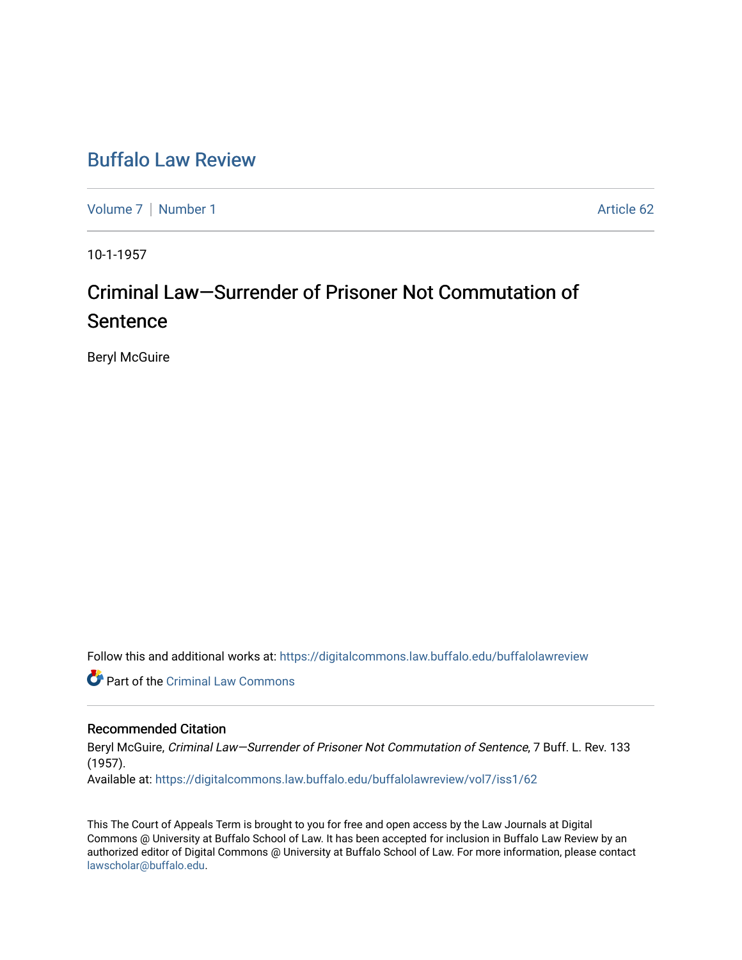# [Buffalo Law Review](https://digitalcommons.law.buffalo.edu/buffalolawreview)

[Volume 7](https://digitalcommons.law.buffalo.edu/buffalolawreview/vol7) | [Number 1](https://digitalcommons.law.buffalo.edu/buffalolawreview/vol7/iss1) Article 62

10-1-1957

# Criminal Law—Surrender of Prisoner Not Commutation of **Sentence**

Beryl McGuire

Follow this and additional works at: [https://digitalcommons.law.buffalo.edu/buffalolawreview](https://digitalcommons.law.buffalo.edu/buffalolawreview?utm_source=digitalcommons.law.buffalo.edu%2Fbuffalolawreview%2Fvol7%2Fiss1%2F62&utm_medium=PDF&utm_campaign=PDFCoverPages) 

**Part of the Criminal Law Commons** 

# Recommended Citation

Beryl McGuire, Criminal Law—Surrender of Prisoner Not Commutation of Sentence, 7 Buff. L. Rev. 133 (1957). Available at: [https://digitalcommons.law.buffalo.edu/buffalolawreview/vol7/iss1/62](https://digitalcommons.law.buffalo.edu/buffalolawreview/vol7/iss1/62?utm_source=digitalcommons.law.buffalo.edu%2Fbuffalolawreview%2Fvol7%2Fiss1%2F62&utm_medium=PDF&utm_campaign=PDFCoverPages) 

This The Court of Appeals Term is brought to you for free and open access by the Law Journals at Digital Commons @ University at Buffalo School of Law. It has been accepted for inclusion in Buffalo Law Review by an authorized editor of Digital Commons @ University at Buffalo School of Law. For more information, please contact [lawscholar@buffalo.edu](mailto:lawscholar@buffalo.edu).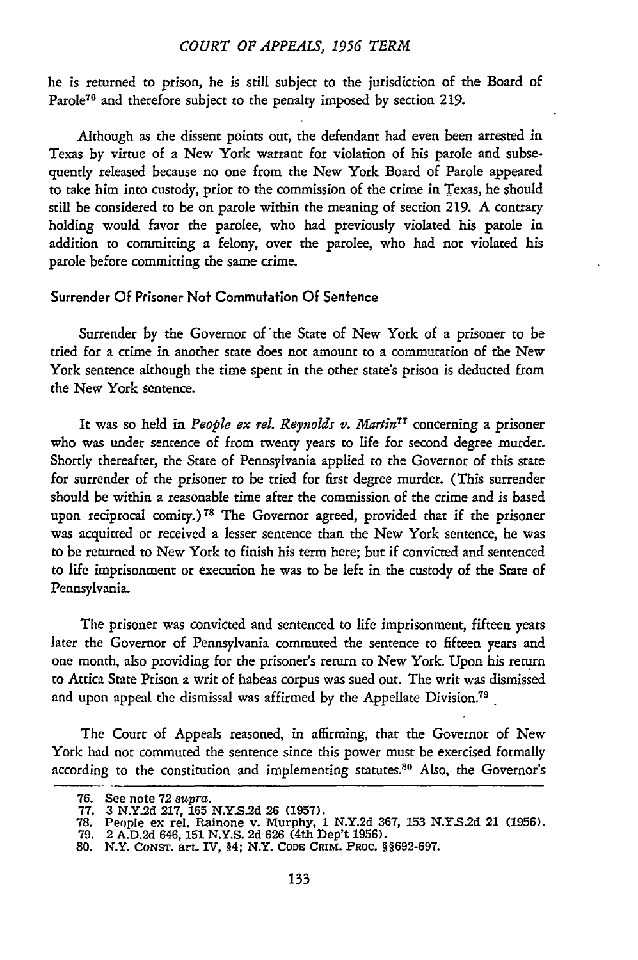### *COURT OF APPEALS, 1956 TERM*

he is returned to prison, he is still subject to the jurisdiction of the Board of Parole<sup>76</sup> and therefore subject to the penalty imposed by section 219.

Although as the dissent points out, the defendant had even been arrested in Texas by virtue of a New York warrant for violation of his parole and subsequently released because no one from the New York Board of Parole appeared to take him into custody, prior to the commission of the crime in Texas, he should still be considered to be on parole within the meaning of section 219. A contrary holding would favor the parolee, who had previously violated his parole in addition to committing a felony, over the parolee, who had not violated his parole before committing the same crime.

# Surrender **Of** Prisoner Not Commutation **Of** Sentence

Surrender by the Governor of'the State of New York of a prisoner to be tried for a crime in another state does not amount to a commutation of the New York sentence although the time spent in the other state's prison is deducted from the New York sentence.

It was so held in *People ex rel. Reynolds v. Martin77* concerning a prisoner who was under sentence of from twenty years to life for second degree murder. Shortly thereafter, the State of Pennsylvania applied to the Governor of this state for surrender of the prisoner to be tried for first degree murder. (This surrender should be within a reasonable time after the commission of the crime and is based upon reciprocal comity.) 78 The Governor agreed, provided that if the prisoner was acquitted or received a lesser sentence than the New York sentence, he was to be returned to New York to finish his term here; but if convicted and sentenced to life imprisonment or execution he was to be left in the custody of the State of Pennsylvania.

The prisoner was convicted and sentenced to life imprisonment, fifteen years later the Governor of Pennsylvania commuted the sentence to fifteen years and one month, also providing for the prisoner's return to New York. Upon his return to Attica State Prison a writ of habeas corpus was sued out. The writ was dismissed and upon appeal the dismissal was affirmed by the Appellate Division.79

The Court of Appeals reasoned, in affirming, that the Governor of New York had not commuted the sentence since this power must be exercised formally according to the constitution and implementing statutes.<sup>80</sup> Also, the Governor's

<sup>76.</sup> See note 72 *supra.*

<sup>77. 3</sup> N.Y.2d 217, 165 N.Y.S.2d 26 (1957).<br>78. People ex rel. Rainone v. Murphy, 1 N.Y.2d 367, 153 N.Y.S.2d 21 (1956)<br>79. 2 A.D.2d 646, 151 N.Y.S. 2d 626 (4th Dep't 1956).

**<sup>80.</sup>** N.Y. CONST. art. IV, **§4;** N.Y. **CODE CRIm.** PRoc. §§692-697.